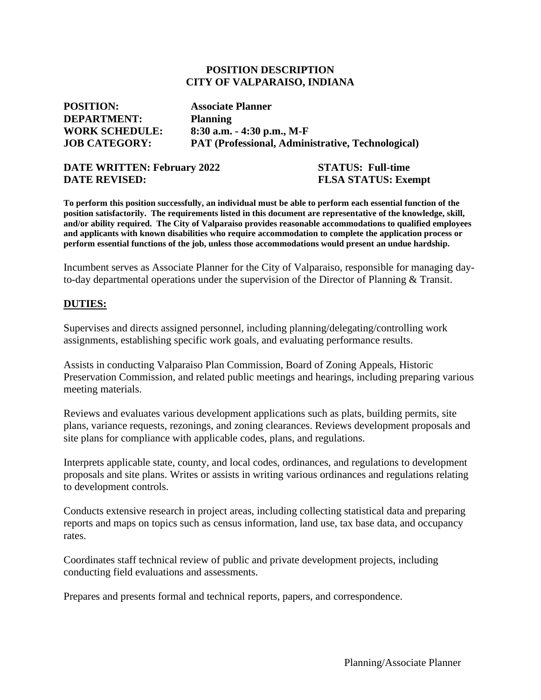#### **POSITION DESCRIPTION CITY OF VALPARAISO, INDIANA**

| <b>POSITION:</b>      | <b>Associate Planner</b>                                 |
|-----------------------|----------------------------------------------------------|
| <b>DEPARTMENT:</b>    | <b>Planning</b>                                          |
| <b>WORK SCHEDULE:</b> | $8:30$ a.m. $-4:30$ p.m., M-F                            |
| <b>JOB CATEGORY:</b>  | <b>PAT (Professional, Administrative, Technological)</b> |

#### **DATE WRITTEN: February 2022 STATUS: Full-time DATE REVISED:** FLSA STATUS: Exempt

**To perform this position successfully, an individual must be able to perform each essential function of the position satisfactorily. The requirements listed in this document are representative of the knowledge, skill, and/or ability required. The City of Valparaiso provides reasonable accommodations to qualified employees and applicants with known disabilities who require accommodation to complete the application process or perform essential functions of the job, unless those accommodations would present an undue hardship.**

Incumbent serves as Associate Planner for the City of Valparaiso, responsible for managing dayto-day departmental operations under the supervision of the Director of Planning & Transit.

#### **DUTIES:**

Supervises and directs assigned personnel, including planning/delegating/controlling work assignments, establishing specific work goals, and evaluating performance results.

Assists in conducting Valparaiso Plan Commission, Board of Zoning Appeals, Historic Preservation Commission, and related public meetings and hearings, including preparing various meeting materials.

Reviews and evaluates various development applications such as plats, building permits, site plans, variance requests, rezonings, and zoning clearances. Reviews development proposals and site plans for compliance with applicable codes, plans, and regulations.

Interprets applicable state, county, and local codes, ordinances, and regulations to development proposals and site plans. Writes or assists in writing various ordinances and regulations relating to development controls.

Conducts extensive research in project areas, including collecting statistical data and preparing reports and maps on topics such as census information, land use, tax base data, and occupancy rates.

Coordinates staff technical review of public and private development projects, including conducting field evaluations and assessments.

Prepares and presents formal and technical reports, papers, and correspondence.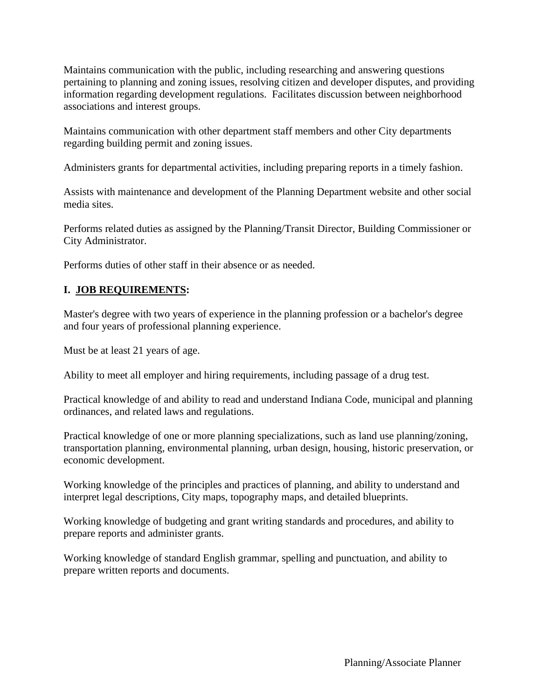Maintains communication with the public, including researching and answering questions pertaining to planning and zoning issues, resolving citizen and developer disputes, and providing information regarding development regulations. Facilitates discussion between neighborhood associations and interest groups.

Maintains communication with other department staff members and other City departments regarding building permit and zoning issues.

Administers grants for departmental activities, including preparing reports in a timely fashion.

Assists with maintenance and development of the Planning Department website and other social media sites.

Performs related duties as assigned by the Planning/Transit Director, Building Commissioner or City Administrator.

Performs duties of other staff in their absence or as needed.

## **I. JOB REQUIREMENTS:**

Master's degree with two years of experience in the planning profession or a bachelor's degree and four years of professional planning experience.

Must be at least 21 years of age.

Ability to meet all employer and hiring requirements, including passage of a drug test.

Practical knowledge of and ability to read and understand Indiana Code, municipal and planning ordinances, and related laws and regulations.

Practical knowledge of one or more planning specializations, such as land use planning/zoning, transportation planning, environmental planning, urban design, housing, historic preservation, or economic development.

Working knowledge of the principles and practices of planning, and ability to understand and interpret legal descriptions, City maps, topography maps, and detailed blueprints.

Working knowledge of budgeting and grant writing standards and procedures, and ability to prepare reports and administer grants.

Working knowledge of standard English grammar, spelling and punctuation, and ability to prepare written reports and documents.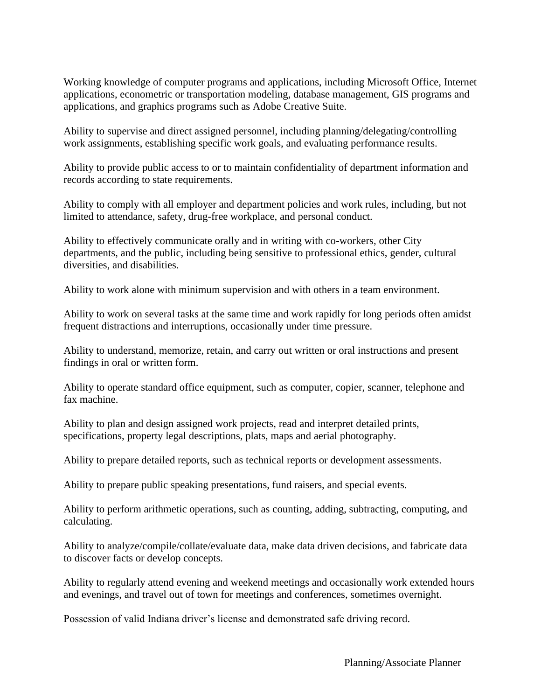Working knowledge of computer programs and applications, including Microsoft Office, Internet applications, econometric or transportation modeling, database management, GIS programs and applications, and graphics programs such as Adobe Creative Suite.

Ability to supervise and direct assigned personnel, including planning/delegating/controlling work assignments, establishing specific work goals, and evaluating performance results.

Ability to provide public access to or to maintain confidentiality of department information and records according to state requirements.

Ability to comply with all employer and department policies and work rules, including, but not limited to attendance, safety, drug-free workplace, and personal conduct.

Ability to effectively communicate orally and in writing with co-workers, other City departments, and the public, including being sensitive to professional ethics, gender, cultural diversities, and disabilities.

Ability to work alone with minimum supervision and with others in a team environment.

Ability to work on several tasks at the same time and work rapidly for long periods often amidst frequent distractions and interruptions, occasionally under time pressure.

Ability to understand, memorize, retain, and carry out written or oral instructions and present findings in oral or written form.

Ability to operate standard office equipment, such as computer, copier, scanner, telephone and fax machine.

Ability to plan and design assigned work projects, read and interpret detailed prints, specifications, property legal descriptions, plats, maps and aerial photography.

Ability to prepare detailed reports, such as technical reports or development assessments.

Ability to prepare public speaking presentations, fund raisers, and special events.

Ability to perform arithmetic operations, such as counting, adding, subtracting, computing, and calculating.

Ability to analyze/compile/collate/evaluate data, make data driven decisions, and fabricate data to discover facts or develop concepts.

Ability to regularly attend evening and weekend meetings and occasionally work extended hours and evenings, and travel out of town for meetings and conferences, sometimes overnight.

Possession of valid Indiana driver's license and demonstrated safe driving record.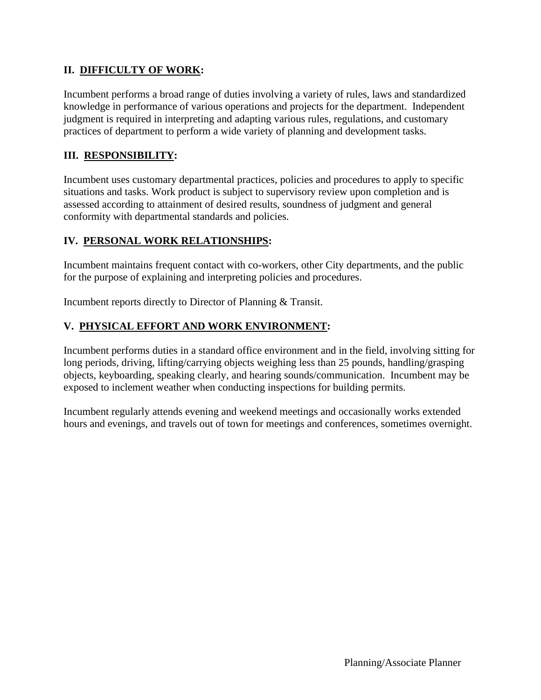# **II. DIFFICULTY OF WORK:**

Incumbent performs a broad range of duties involving a variety of rules, laws and standardized knowledge in performance of various operations and projects for the department. Independent judgment is required in interpreting and adapting various rules, regulations, and customary practices of department to perform a wide variety of planning and development tasks.

# **III. RESPONSIBILITY:**

Incumbent uses customary departmental practices, policies and procedures to apply to specific situations and tasks. Work product is subject to supervisory review upon completion and is assessed according to attainment of desired results, soundness of judgment and general conformity with departmental standards and policies.

# **IV. PERSONAL WORK RELATIONSHIPS:**

Incumbent maintains frequent contact with co-workers, other City departments, and the public for the purpose of explaining and interpreting policies and procedures.

Incumbent reports directly to Director of Planning & Transit.

## **V. PHYSICAL EFFORT AND WORK ENVIRONMENT:**

Incumbent performs duties in a standard office environment and in the field, involving sitting for long periods, driving, lifting/carrying objects weighing less than 25 pounds, handling/grasping objects, keyboarding, speaking clearly, and hearing sounds/communication. Incumbent may be exposed to inclement weather when conducting inspections for building permits.

Incumbent regularly attends evening and weekend meetings and occasionally works extended hours and evenings, and travels out of town for meetings and conferences, sometimes overnight.